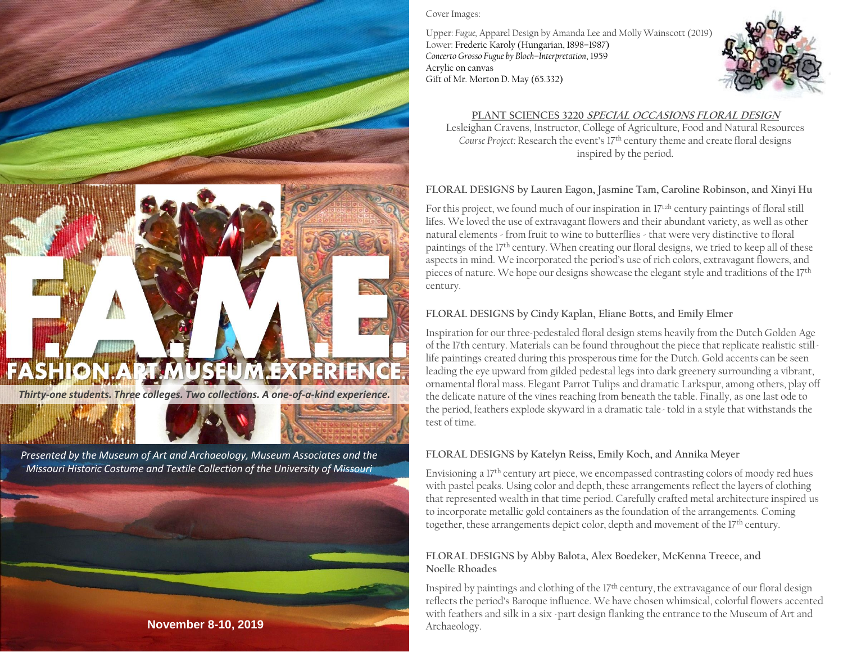



#### Cover Images:

Upper: *Fugue,* Apparel Design by Amanda Lee and Molly Wainscott (2019) Lower: Frederic Karoly (Hungarian, 1898–1987) *Concerto Grosso Fugue by Bloch–Interpretation*, 1959 Acrylic on canvas Gift of Mr. Morton D. May (65.332)



# **PLANT SCIENCES 3220 SPECIAL OCCASIONS FLORAL DESIGN**

Lesleighan Cravens, Instructor, College of Agriculture, Food and Natural Resources *Course Project:* Research the event's 17th century theme and create floral designs inspired by the period.

### **FLORAL DESIGNS by Lauren Eagon, Jasmine Tam, Caroline Robinson, and Xinyi Hu**

For this project, we found much of our inspiration in 17<sup>tzh</sup> century paintings of floral still lifes. We loved the use of extravagant flowers and their abundant variety, as well as other natural elements - from fruit to wine to butterflies - that were very distinctive to floral paintings of the 17<sup>th</sup> century. When creating our floral designs, we tried to keep all of these aspects in mind. We incorporated the period's use of rich colors, extravagant flowers, and pieces of nature. We hope our designs showcase the elegant style and traditions of the 17th century.

### **FLORAL DESIGNS by Cindy Kaplan, Eliane Botts, and Emily Elmer**

Inspiration for our three-pedestaled floral design stems heavily from the Dutch Golden Age of the 17th century. Materials can be found throughout the piece that replicate realistic stilllife paintings created during this prosperous time for the Dutch. Gold accents can be seen leading the eye upward from gilded pedestal legs into dark greenery surrounding a vibrant, ornamental floral mass. Elegant Parrot Tulips and dramatic Larkspur, among others, play off the delicate nature of the vines reaching from beneath the table. Finally, as one last ode to the period, feathers explode skyward in a dramatic tale- told in a style that withstands the test of time.

### **FLORAL DESIGNS by Katelyn Reiss, Emily Koch, and Annika Meyer**

Envisioning a 17th century art piece, we encompassed contrasting colors of moody red hues with pastel peaks. Using color and depth, these arrangements reflect the layers of clothing that represented wealth in that time period. Carefully crafted metal architecture inspired us to incorporate metallic gold containers as the foundation of the arrangements. Coming together, these arrangements depict color, depth and movement of the 17<sup>th</sup> century.

#### **FLORAL DESIGNS by Abby Balota, Alex Boedeker, McKenna Treece, and Noelle Rhoades**

Inspired by paintings and clothing of the 17<sup>th</sup> century, the extravagance of our floral design reflects the period's Baroque influence. We have chosen whimsical, colorful flowers accented with feathers and silk in a six -part design flanking the entrance to the Museum of Art and Archaeology.